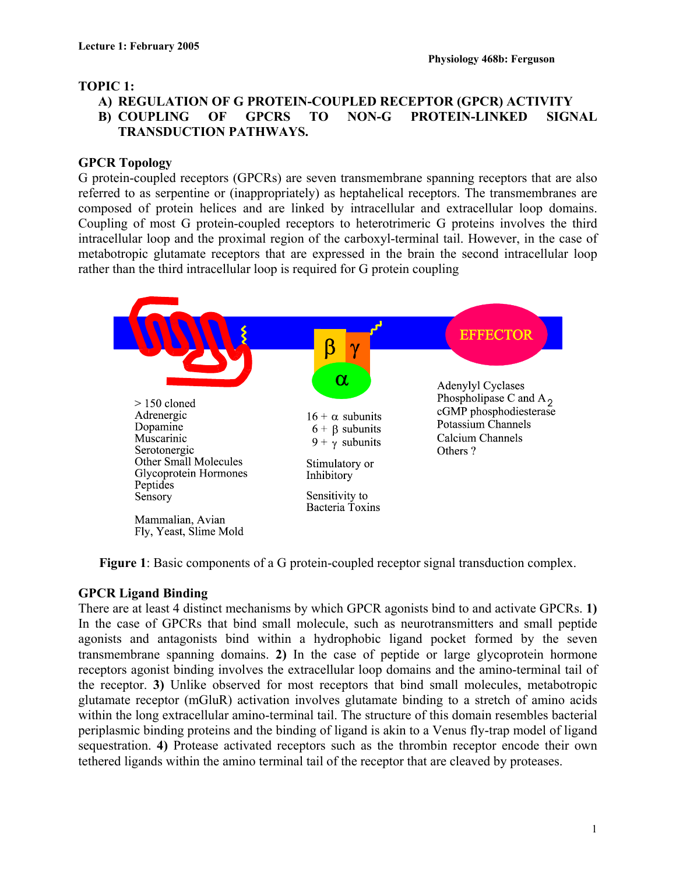#### **TOPIC 1:**

#### **A) REGULATION OF G PROTEIN-COUPLED RECEPTOR (GPCR) ACTIVITY B) COUPLING OF GPCRS TO NON-G PROTEIN-LINKED SIGNAL TRANSDUCTION PATHWAYS.**

#### **GPCR Topology**

G protein-coupled receptors (GPCRs) are seven transmembrane spanning receptors that are also referred to as serpentine or (inappropriately) as heptahelical receptors. The transmembranes are composed of protein helices and are linked by intracellular and extracellular loop domains. Coupling of most G protein-coupled receptors to heterotrimeric G proteins involves the third intracellular loop and the proximal region of the carboxyl-terminal tail. However, in the case of metabotropic glutamate receptors that are expressed in the brain the second intracellular loop rather than the third intracellular loop is required for G protein coupling



**Figure 1**: Basic components of a G protein-coupled receptor signal transduction complex.

## **GPCR Ligand Binding**

There are at least 4 distinct mechanisms by which GPCR agonists bind to and activate GPCRs. **1)** In the case of GPCRs that bind small molecule, such as neurotransmitters and small peptide agonists and antagonists bind within a hydrophobic ligand pocket formed by the seven transmembrane spanning domains. **2)** In the case of peptide or large glycoprotein hormone receptors agonist binding involves the extracellular loop domains and the amino-terminal tail of the receptor. **3)** Unlike observed for most receptors that bind small molecules, metabotropic glutamate receptor (mGluR) activation involves glutamate binding to a stretch of amino acids within the long extracellular amino-terminal tail. The structure of this domain resembles bacterial periplasmic binding proteins and the binding of ligand is akin to a Venus fly-trap model of ligand sequestration. **4)** Protease activated receptors such as the thrombin receptor encode their own tethered ligands within the amino terminal tail of the receptor that are cleaved by proteases.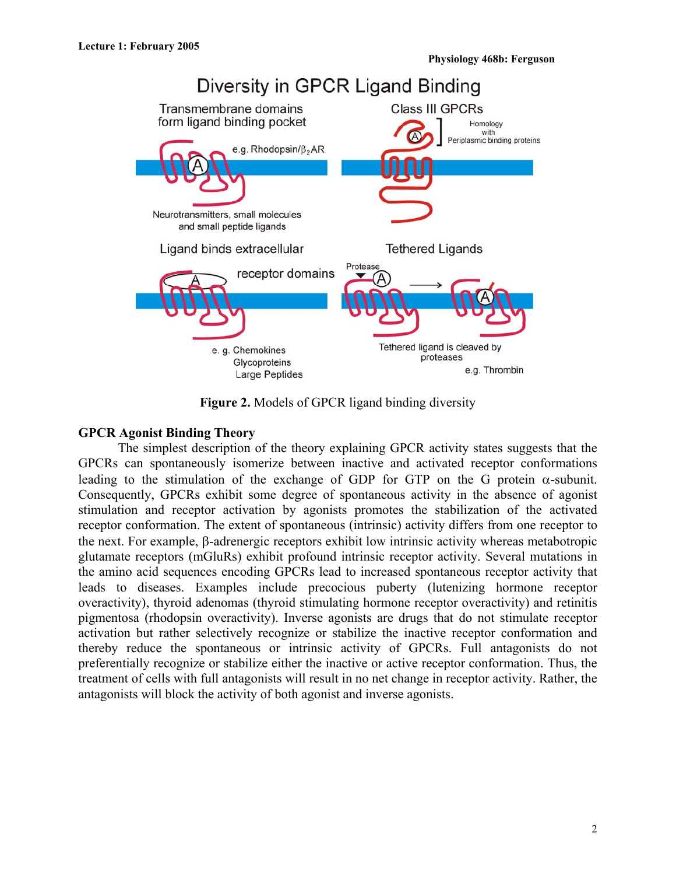

**Figure 2.** Models of GPCR ligand binding diversity

#### **GPCR Agonist Binding Theory**

The simplest description of the theory explaining GPCR activity states suggests that the GPCRs can spontaneously isomerize between inactive and activated receptor conformations leading to the stimulation of the exchange of GDP for GTP on the G protein  $\alpha$ -subunit. Consequently, GPCRs exhibit some degree of spontaneous activity in the absence of agonist stimulation and receptor activation by agonists promotes the stabilization of the activated receptor conformation. The extent of spontaneous (intrinsic) activity differs from one receptor to the next. For example, β-adrenergic receptors exhibit low intrinsic activity whereas metabotropic glutamate receptors (mGluRs) exhibit profound intrinsic receptor activity. Several mutations in the amino acid sequences encoding GPCRs lead to increased spontaneous receptor activity that leads to diseases. Examples include precocious puberty (lutenizing hormone receptor overactivity), thyroid adenomas (thyroid stimulating hormone receptor overactivity) and retinitis pigmentosa (rhodopsin overactivity). Inverse agonists are drugs that do not stimulate receptor activation but rather selectively recognize or stabilize the inactive receptor conformation and thereby reduce the spontaneous or intrinsic activity of GPCRs. Full antagonists do not preferentially recognize or stabilize either the inactive or active receptor conformation. Thus, the treatment of cells with full antagonists will result in no net change in receptor activity. Rather, the antagonists will block the activity of both agonist and inverse agonists.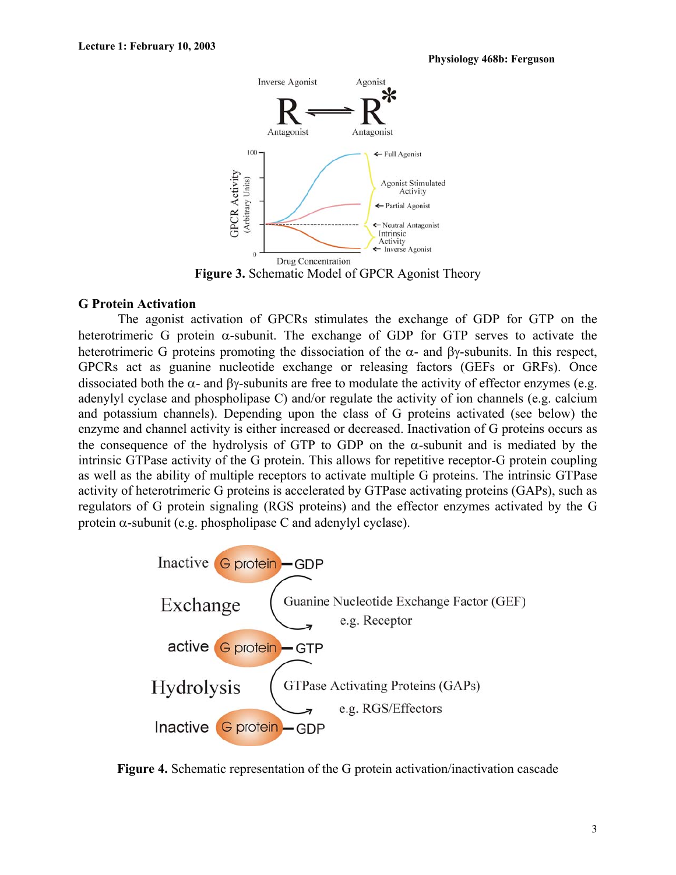

#### **G Protein Activation**

The agonist activation of GPCRs stimulates the exchange of GDP for GTP on the heterotrimeric G protein  $\alpha$ -subunit. The exchange of GDP for GTP serves to activate the heterotrimeric G proteins promoting the dissociation of the  $\alpha$ - and  $\beta$ γ-subunits. In this respect, GPCRs act as guanine nucleotide exchange or releasing factors (GEFs or GRFs). Once dissociated both the  $\alpha$ - and  $\beta\gamma$ -subunits are free to modulate the activity of effector enzymes (e.g. adenylyl cyclase and phospholipase C) and/or regulate the activity of ion channels (e.g. calcium and potassium channels). Depending upon the class of G proteins activated (see below) the enzyme and channel activity is either increased or decreased. Inactivation of G proteins occurs as the consequence of the hydrolysis of GTP to GDP on the  $\alpha$ -subunit and is mediated by the intrinsic GTPase activity of the G protein. This allows for repetitive receptor-G protein coupling as well as the ability of multiple receptors to activate multiple G proteins. The intrinsic GTPase activity of heterotrimeric G proteins is accelerated by GTPase activating proteins (GAPs), such as regulators of G protein signaling (RGS proteins) and the effector enzymes activated by the G protein  $\alpha$ -subunit (e.g. phospholipase C and adenylyl cyclase).



**Figure 4.** Schematic representation of the G protein activation/inactivation cascade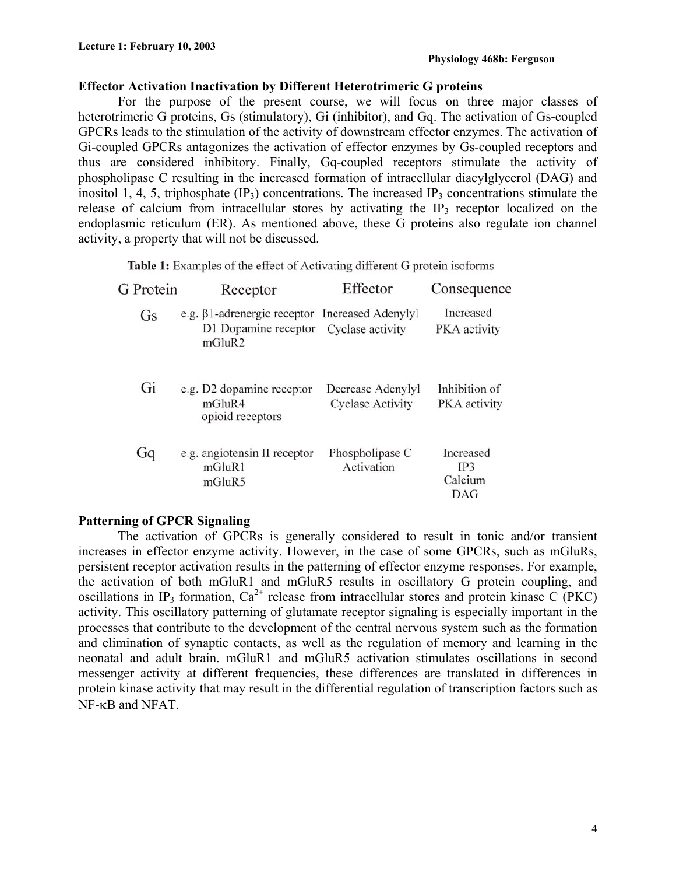#### **Effector Activation Inactivation by Different Heterotrimeric G proteins**

For the purpose of the present course, we will focus on three major classes of heterotrimeric G proteins, Gs (stimulatory), Gi (inhibitor), and Gq. The activation of Gs-coupled GPCRs leads to the stimulation of the activity of downstream effector enzymes. The activation of Gi-coupled GPCRs antagonizes the activation of effector enzymes by Gs-coupled receptors and thus are considered inhibitory. Finally, Gq-coupled receptors stimulate the activity of phospholipase C resulting in the increased formation of intracellular diacylglycerol (DAG) and inositol 1, 4, 5, triphosphate  $(\text{IP}_3)$  concentrations. The increased  $\text{IP}_3$  concentrations stimulate the release of calcium from intracellular stores by activating the  $IP_3$  receptor localized on the endoplasmic reticulum (ER). As mentioned above, these G proteins also regulate ion channel activity, a property that will not be discussed.

 $\sim$ 

Table 1: Examples of the effect of Activating different G protein isoforms

| G Protein | Receptor                                                             | Effector                                      | Consequence                        |
|-----------|----------------------------------------------------------------------|-----------------------------------------------|------------------------------------|
| Gs        | e.g. $\beta$ 1-adrenergic receptor<br>D1 Dopamine receptor<br>mGluR2 | <b>Increased Adenylyl</b><br>Cyclase activity | Increased<br>PKA activity          |
| Gi        | e.g. D2 dopamine receptor<br>mGluR4<br>opioid receptors              | Decrease Adenylyl<br><b>Cyclase Activity</b>  | Inhibition of<br>PKA activity      |
| Gq        | e.g. angiotensin II receptor<br>mGluR1<br>mGluR5                     | Phospholipase C<br>Activation                 | Increased<br>IP3<br>Calcium<br>DAG |

#### **Patterning of GPCR Signaling**

 The activation of GPCRs is generally considered to result in tonic and/or transient increases in effector enzyme activity. However, in the case of some GPCRs, such as mGluRs, persistent receptor activation results in the patterning of effector enzyme responses. For example, the activation of both mGluR1 and mGluR5 results in oscillatory G protein coupling, and oscillations in IP<sub>3</sub> formation,  $Ca^{2+}$  release from intracellular stores and protein kinase C (PKC) activity. This oscillatory patterning of glutamate receptor signaling is especially important in the processes that contribute to the development of the central nervous system such as the formation and elimination of synaptic contacts, as well as the regulation of memory and learning in the neonatal and adult brain. mGluR1 and mGluR5 activation stimulates oscillations in second messenger activity at different frequencies, these differences are translated in differences in protein kinase activity that may result in the differential regulation of transcription factors such as NF-κB and NFAT.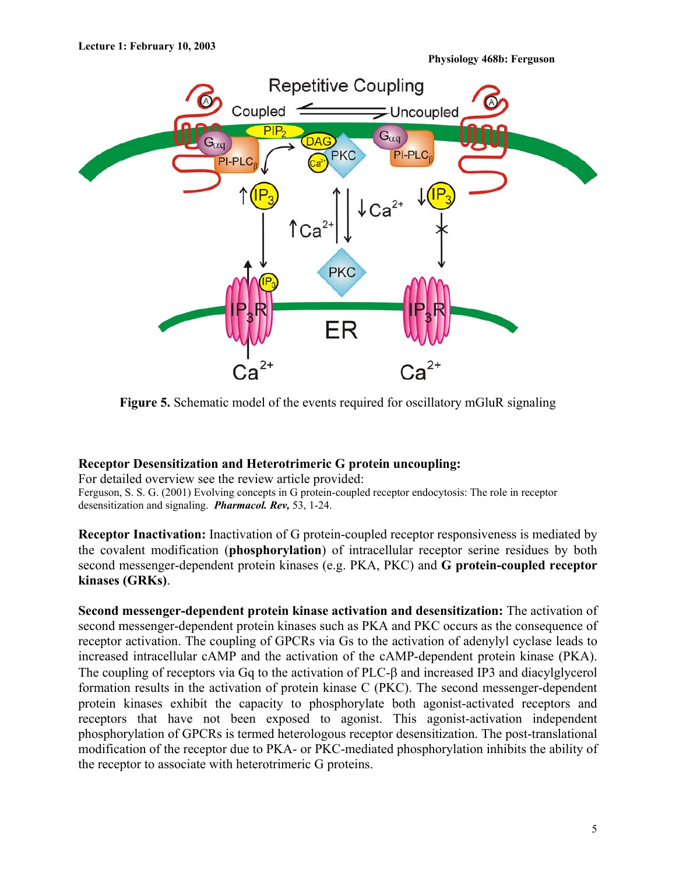

**Figure 5.** Schematic model of the events required for oscillatory mGluR signaling

#### **Receptor Desensitization and Heterotrimeric G protein uncoupling:**

For detailed overview see the review article provided: Ferguson, S. S. G. (2001) Evolving concepts in G protein-coupled receptor endocytosis: The role in receptor desensitization and signaling. *Pharmacol. Rev,* 53, 1-24.

**Receptor Inactivation:** Inactivation of G protein-coupled receptor responsiveness is mediated by the covalent modification (**phosphorylation**) of intracellular receptor serine residues by both second messenger-dependent protein kinases (e.g. PKA, PKC) and **G protein-coupled receptor kinases (GRKs)**.

**Second messenger-dependent protein kinase activation and desensitization:** The activation of second messenger-dependent protein kinases such as PKA and PKC occurs as the consequence of receptor activation. The coupling of GPCRs via Gs to the activation of adenylyl cyclase leads to increased intracellular cAMP and the activation of the cAMP-dependent protein kinase (PKA). The coupling of receptors via Gq to the activation of PLC-β and increased IP3 and diacylglycerol formation results in the activation of protein kinase C (PKC). The second messenger-dependent protein kinases exhibit the capacity to phosphorylate both agonist-activated receptors and receptors that have not been exposed to agonist. This agonist-activation independent phosphorylation of GPCRs is termed heterologous receptor desensitization. The post-translational modification of the receptor due to PKA- or PKC-mediated phosphorylation inhibits the ability of the receptor to associate with heterotrimeric G proteins.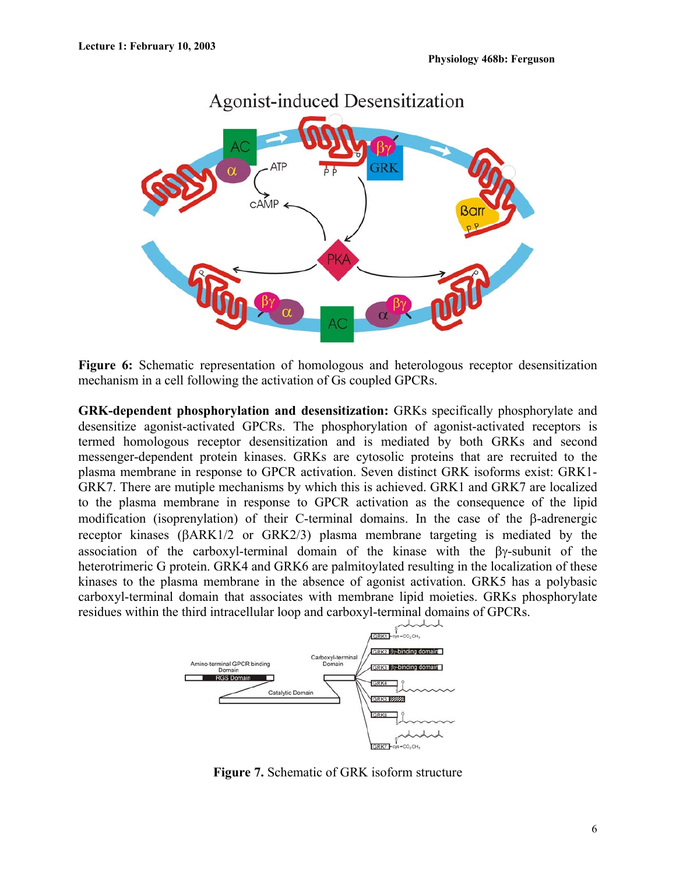

**Figure 6:** Schematic representation of homologous and heterologous receptor desensitization mechanism in a cell following the activation of Gs coupled GPCRs.

**GRK-dependent phosphorylation and desensitization:** GRKs specifically phosphorylate and desensitize agonist-activated GPCRs. The phosphorylation of agonist-activated receptors is termed homologous receptor desensitization and is mediated by both GRKs and second messenger-dependent protein kinases. GRKs are cytosolic proteins that are recruited to the plasma membrane in response to GPCR activation. Seven distinct GRK isoforms exist: GRK1- GRK7. There are mutiple mechanisms by which this is achieved. GRK1 and GRK7 are localized to the plasma membrane in response to GPCR activation as the consequence of the lipid modification (isoprenylation) of their C-terminal domains. In the case of the β-adrenergic receptor kinases (βARK1/2 or GRK2/3) plasma membrane targeting is mediated by the association of the carboxyl-terminal domain of the kinase with the βγ-subunit of the heterotrimeric G protein. GRK4 and GRK6 are palmitoylated resulting in the localization of these kinases to the plasma membrane in the absence of agonist activation. GRK5 has a polybasic carboxyl-terminal domain that associates with membrane lipid moieties. GRKs phosphorylate residues within the third intracellular loop and carboxyl-terminal domains of GPCRs.



**Figure 7.** Schematic of GRK isoform structure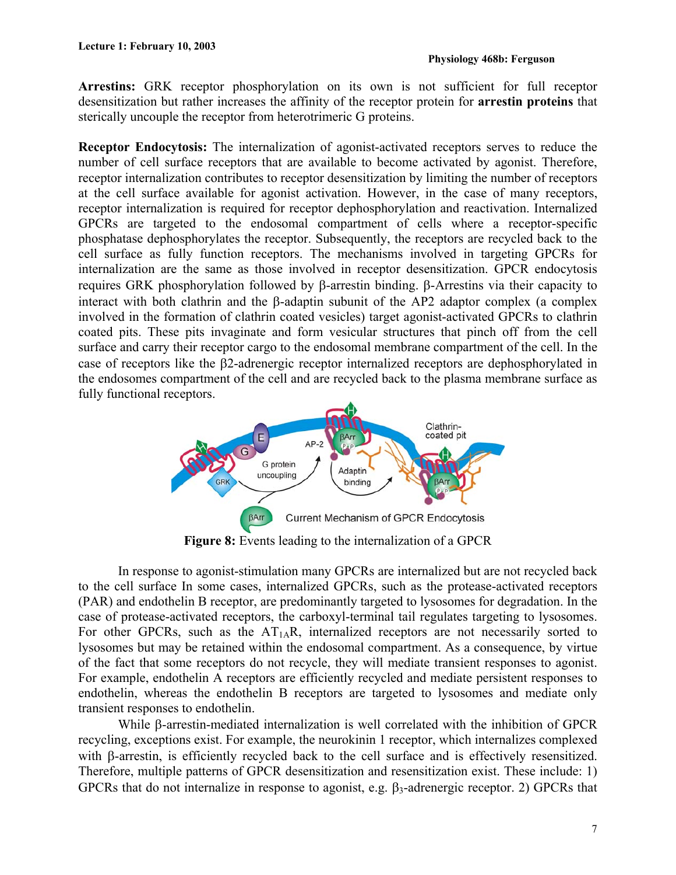**Arrestins:** GRK receptor phosphorylation on its own is not sufficient for full receptor desensitization but rather increases the affinity of the receptor protein for **arrestin proteins** that sterically uncouple the receptor from heterotrimeric G proteins.

**Receptor Endocytosis:** The internalization of agonist-activated receptors serves to reduce the number of cell surface receptors that are available to become activated by agonist. Therefore, receptor internalization contributes to receptor desensitization by limiting the number of receptors at the cell surface available for agonist activation. However, in the case of many receptors, receptor internalization is required for receptor dephosphorylation and reactivation. Internalized GPCRs are targeted to the endosomal compartment of cells where a receptor-specific phosphatase dephosphorylates the receptor. Subsequently, the receptors are recycled back to the cell surface as fully function receptors. The mechanisms involved in targeting GPCRs for internalization are the same as those involved in receptor desensitization. GPCR endocytosis requires GRK phosphorylation followed by β-arrestin binding. β-Arrestins via their capacity to interact with both clathrin and the β-adaptin subunit of the AP2 adaptor complex (a complex involved in the formation of clathrin coated vesicles) target agonist-activated GPCRs to clathrin coated pits. These pits invaginate and form vesicular structures that pinch off from the cell surface and carry their receptor cargo to the endosomal membrane compartment of the cell. In the case of receptors like the β2-adrenergic receptor internalized receptors are dephosphorylated in the endosomes compartment of the cell and are recycled back to the plasma membrane surface as fully functional receptors.



**Figure 8:** Events leading to the internalization of a GPCR

 In response to agonist-stimulation many GPCRs are internalized but are not recycled back to the cell surface In some cases, internalized GPCRs, such as the protease-activated receptors (PAR) and endothelin B receptor, are predominantly targeted to lysosomes for degradation. In the case of protease-activated receptors, the carboxyl-terminal tail regulates targeting to lysosomes. For other GPCRs, such as the  $AT<sub>1A</sub>R$ , internalized receptors are not necessarily sorted to lysosomes but may be retained within the endosomal compartment. As a consequence, by virtue of the fact that some receptors do not recycle, they will mediate transient responses to agonist. For example, endothelin A receptors are efficiently recycled and mediate persistent responses to endothelin, whereas the endothelin B receptors are targeted to lysosomes and mediate only transient responses to endothelin.

While β-arrestin-mediated internalization is well correlated with the inhibition of GPCR recycling, exceptions exist. For example, the neurokinin 1 receptor, which internalizes complexed with β-arrestin, is efficiently recycled back to the cell surface and is effectively resensitized. Therefore, multiple patterns of GPCR desensitization and resensitization exist. These include: 1) GPCRs that do not internalize in response to agonist, e.g.  $\beta_3$ -adrenergic receptor. 2) GPCRs that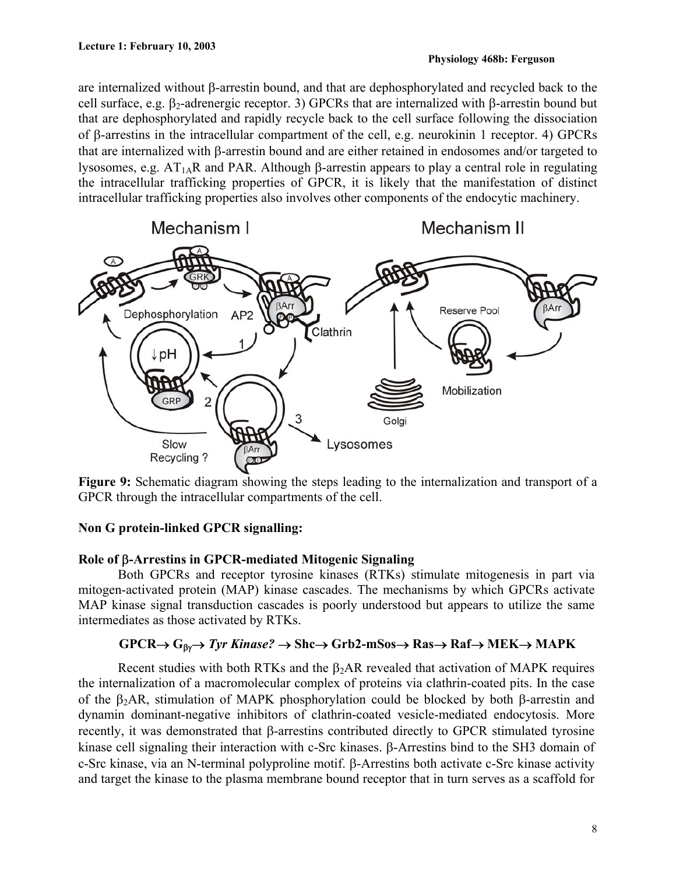are internalized without β-arrestin bound, and that are dephosphorylated and recycled back to the cell surface, e.g. β<sub>2</sub>-adrenergic receptor. 3) GPCRs that are internalized with β-arrestin bound but that are dephosphorylated and rapidly recycle back to the cell surface following the dissociation of β-arrestins in the intracellular compartment of the cell, e.g. neurokinin 1 receptor. 4) GPCRs that are internalized with β-arrestin bound and are either retained in endosomes and/or targeted to lysosomes, e.g.  $AT<sub>1A</sub>R$  and PAR. Although β-arrestin appears to play a central role in regulating the intracellular trafficking properties of GPCR, it is likely that the manifestation of distinct intracellular trafficking properties also involves other components of the endocytic machinery.



**Figure 9:** Schematic diagram showing the steps leading to the internalization and transport of a GPCR through the intracellular compartments of the cell.

# **Non G protein-linked GPCR signalling:**

# **Role of** β**-Arrestins in GPCR-mediated Mitogenic Signaling**

Both GPCRs and receptor tyrosine kinases (RTKs) stimulate mitogenesis in part via mitogen-activated protein (MAP) kinase cascades. The mechanisms by which GPCRs activate MAP kinase signal transduction cascades is poorly understood but appears to utilize the same intermediates as those activated by RTKs.

# **GPCR**→ **G**βγ→ *Tyr Kinase?* → **Shc**→ **Grb2-mSos**→ **Ras**→ **Raf**→ **MEK**→ **MAPK**

Recent studies with both RTKs and the  $\beta_2AR$  revealed that activation of MAPK requires the internalization of a macromolecular complex of proteins via clathrin-coated pits. In the case of the β2AR, stimulation of MAPK phosphorylation could be blocked by both β-arrestin and dynamin dominant-negative inhibitors of clathrin-coated vesicle-mediated endocytosis. More recently, it was demonstrated that β-arrestins contributed directly to GPCR stimulated tyrosine kinase cell signaling their interaction with c-Src kinases. β-Arrestins bind to the SH3 domain of c-Src kinase, via an N-terminal polyproline motif. β-Arrestins both activate c-Src kinase activity and target the kinase to the plasma membrane bound receptor that in turn serves as a scaffold for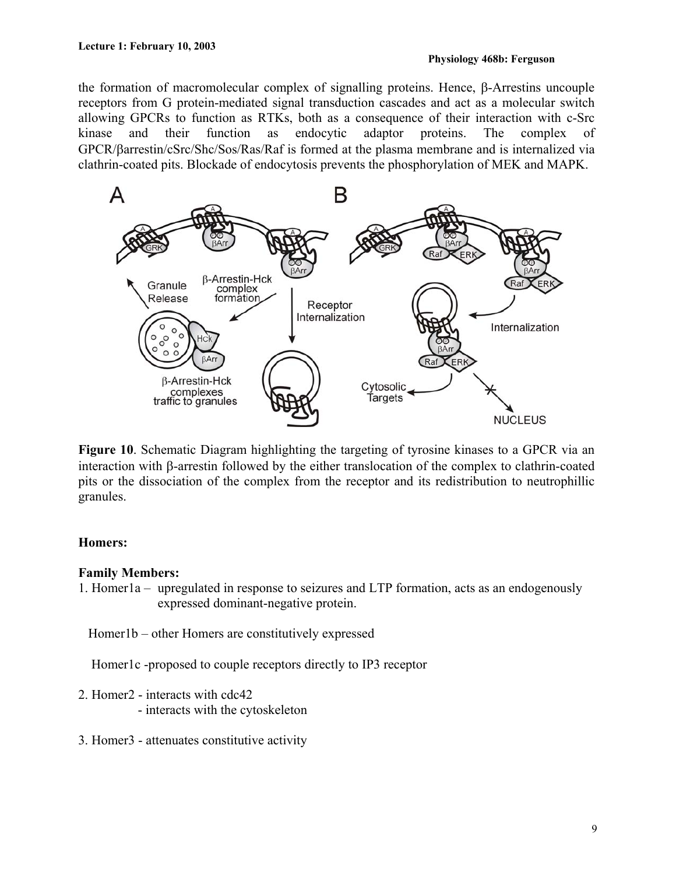the formation of macromolecular complex of signalling proteins. Hence, β-Arrestins uncouple receptors from G protein-mediated signal transduction cascades and act as a molecular switch allowing GPCRs to function as RTKs, both as a consequence of their interaction with c-Src kinase and their function as endocytic adaptor proteins. The complex of GPCR/βarrestin/cSrc/Shc/Sos/Ras/Raf is formed at the plasma membrane and is internalized via clathrin-coated pits. Blockade of endocytosis prevents the phosphorylation of MEK and MAPK.



**Figure 10**. Schematic Diagram highlighting the targeting of tyrosine kinases to a GPCR via an interaction with β-arrestin followed by the either translocation of the complex to clathrin-coated pits or the dissociation of the complex from the receptor and its redistribution to neutrophillic granules.

## **Homers:**

#### **Family Members:**

1. Homer1a – upregulated in response to seizures and LTP formation, acts as an endogenously expressed dominant-negative protein.

Homer1b – other Homers are constitutively expressed

Homer1c -proposed to couple receptors directly to IP3 receptor

- 2. Homer2 interacts with cdc42
	- interacts with the cytoskeleton
- 3. Homer3 attenuates constitutive activity